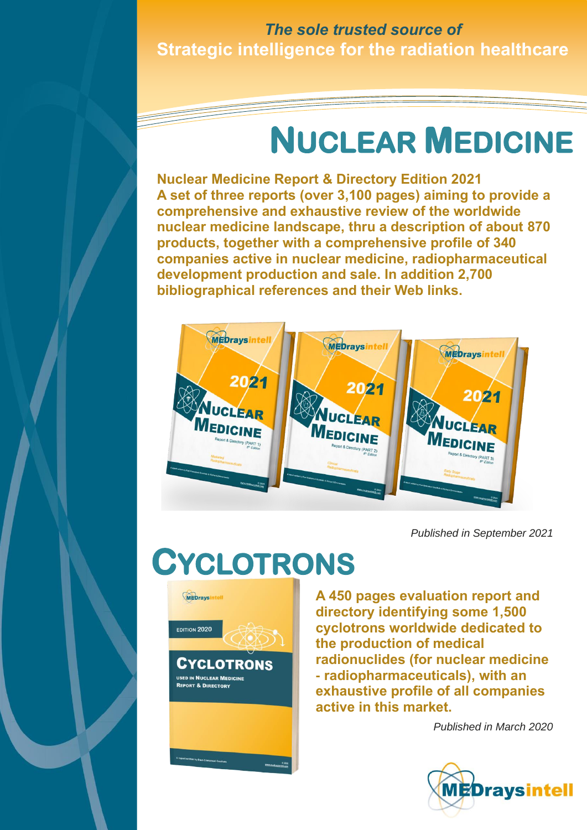### **Strategic intelligence for the radiation healthcare** *The sole trusted source of*

## **NUCLEAR MEDICINE**

**Nuclear Medicine Report & Directory Edition 2021 A set of three reports (over 3,100 pages) aiming to provide a comprehensive and exhaustive review of the worldwide nuclear medicine landscape, thru a description of about 870 products, together with a comprehensive profile of 340 companies active in nuclear medicine, radiopharmaceutical development production and sale. In addition 2,700 bibliographical references and their Web links.**



*Published in September 2021*

## **CYCLOTRONS**



**A 450 pages evaluation report and directory identifying some 1,500 cyclotrons worldwide dedicated to the production of medical radionuclides (for nuclear medicine - radiopharmaceuticals), with an exhaustive profile of all companies active in this market.**

*Published in March 2020*